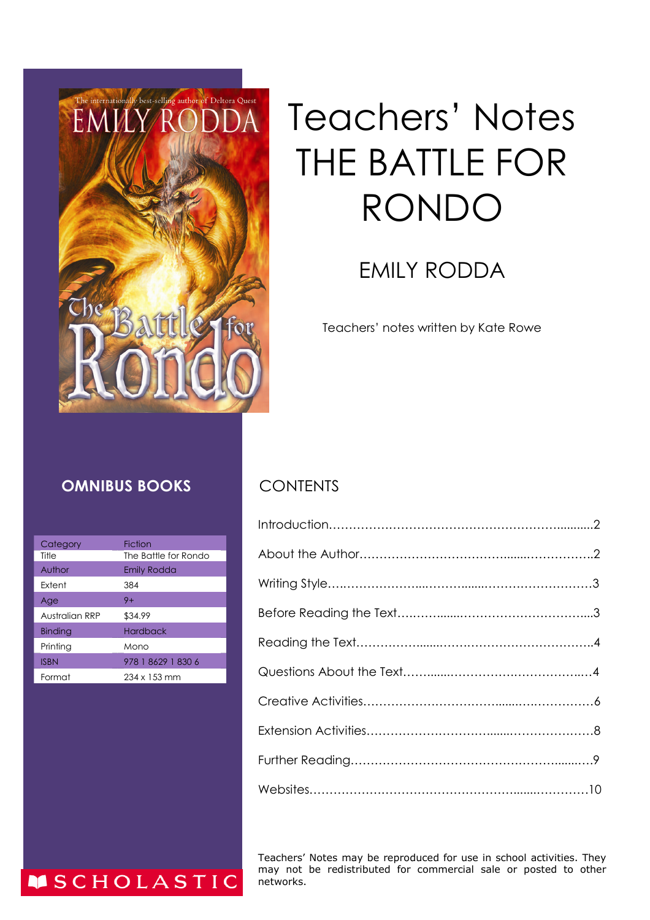

# Teachers' Notes THE BATTLE FOR RONDO

## EMILY RODDA

Teachers' notes written by Kate Rowe

#### **OMNIBUS BOOKS** CONTENTS

| Category       | <b>Fiction</b>       |
|----------------|----------------------|
| Title          | The Battle for Rondo |
| Author         | Emily Rodda          |
| <b>Extent</b>  | 384                  |
| Age            | $9+$                 |
| Australian RRP | \$34.99              |
| <b>Binding</b> | <b>Hardback</b>      |
| Printing       | Mono                 |
| <b>ISBN</b>    | 978 1 8629 1 830 6   |
| Format         | $234 \times 153$ mm  |

**MSCHOLASTIC** 

Teachers' Notes may be reproduced for use in school activities. They may not be redistributed for commercial sale or posted to other networks.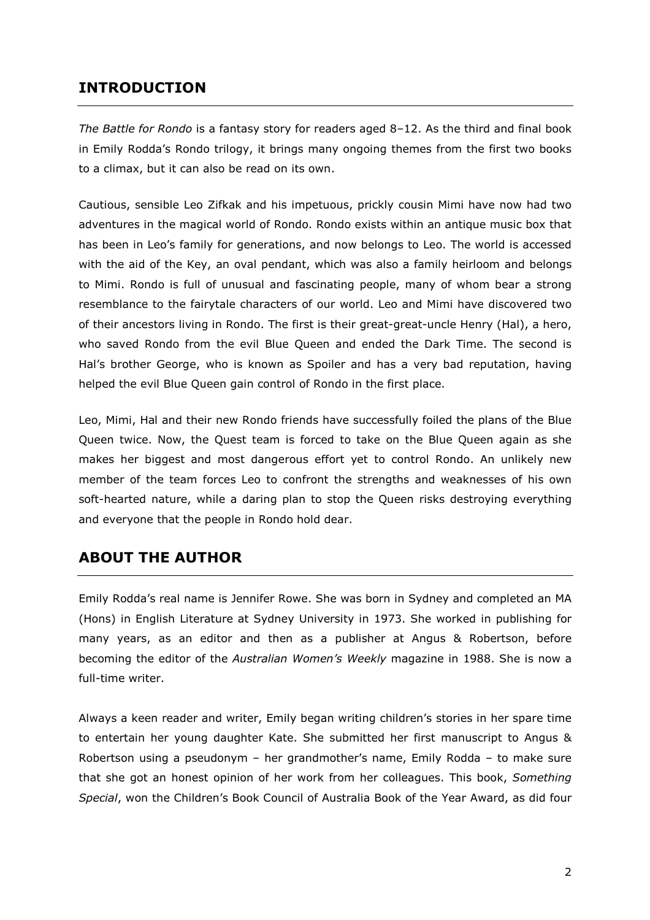#### **INTRODUCTION**

*The Battle for Rondo* is a fantasy story for readers aged 8–12. As the third and final book in Emily Rodda's Rondo trilogy, it brings many ongoing themes from the first two books to a climax, but it can also be read on its own.

Cautious, sensible Leo Zifkak and his impetuous, prickly cousin Mimi have now had two adventures in the magical world of Rondo. Rondo exists within an antique music box that has been in Leo's family for generations, and now belongs to Leo. The world is accessed with the aid of the Key, an oval pendant, which was also a family heirloom and belongs to Mimi. Rondo is full of unusual and fascinating people, many of whom bear a strong resemblance to the fairytale characters of our world. Leo and Mimi have discovered two of their ancestors living in Rondo. The first is their great-great-uncle Henry (Hal), a hero, who saved Rondo from the evil Blue Queen and ended the Dark Time. The second is Hal's brother George, who is known as Spoiler and has a very bad reputation, having helped the evil Blue Queen gain control of Rondo in the first place.

Leo, Mimi, Hal and their new Rondo friends have successfully foiled the plans of the Blue Queen twice. Now, the Quest team is forced to take on the Blue Queen again as she makes her biggest and most dangerous effort yet to control Rondo. An unlikely new member of the team forces Leo to confront the strengths and weaknesses of his own soft-hearted nature, while a daring plan to stop the Queen risks destroying everything and everyone that the people in Rondo hold dear.

#### **ABOUT THE AUTHOR**

Emily Rodda's real name is Jennifer Rowe. She was born in Sydney and completed an MA (Hons) in English Literature at Sydney University in 1973. She worked in publishing for many years, as an editor and then as a publisher at Angus & Robertson, before becoming the editor of the *Australian Women's Weekly* magazine in 1988. She is now a full-time writer.

Always a keen reader and writer, Emily began writing children's stories in her spare time to entertain her young daughter Kate. She submitted her first manuscript to Angus & Robertson using a pseudonym – her grandmother's name, Emily Rodda – to make sure that she got an honest opinion of her work from her colleagues. This book, *Something Special*, won the Children's Book Council of Australia Book of the Year Award, as did four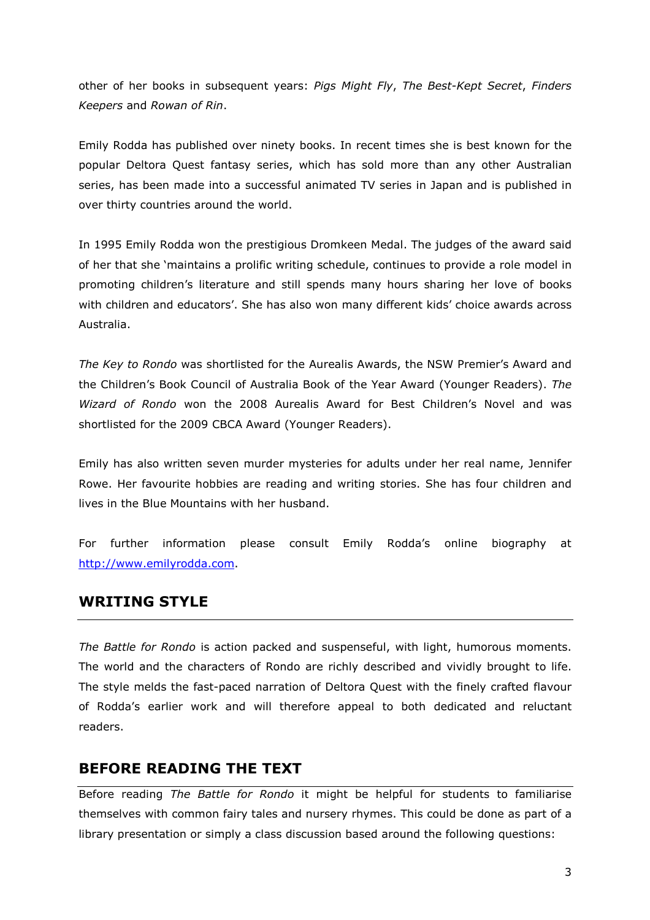other of her books in subsequent years: *Pigs Might Fly*, *The Best-Kept Secret*, *Finders Keepers* and *Rowan of Rin*.

Emily Rodda has published over ninety books. In recent times she is best known for the popular Deltora Quest fantasy series, which has sold more than any other Australian series, has been made into a successful animated TV series in Japan and is published in over thirty countries around the world.

In 1995 Emily Rodda won the prestigious Dromkeen Medal. The judges of the award said of her that she 'maintains a prolific writing schedule, continues to provide a role model in promoting children's literature and still spends many hours sharing her love of books with children and educators'. She has also won many different kids' choice awards across Australia.

*The Key to Rondo* was shortlisted for the Aurealis Awards, the NSW Premier's Award and the Children's Book Council of Australia Book of the Year Award (Younger Readers). *The Wizard of Rondo* won the 2008 Aurealis Award for Best Children's Novel and was shortlisted for the 2009 CBCA Award (Younger Readers).

Emily has also written seven murder mysteries for adults under her real name, Jennifer Rowe. Her favourite hobbies are reading and writing stories. She has four children and lives in the Blue Mountains with her husband.

For further information please consult Emily Rodda's online biography at [http://www.emilyrodda.com.](http://www.emilyrodda.com)

#### **WRITING STYLE**

*The Battle for Rondo* is action packed and suspenseful, with light, humorous moments. The world and the characters of Rondo are richly described and vividly brought to life. The style melds the fast-paced narration of Deltora Quest with the finely crafted flavour of Rodda's earlier work and will therefore appeal to both dedicated and reluctant readers.

#### **BEFORE READING THE TEXT**

Before reading *The Battle for Rondo* it might be helpful for students to familiarise themselves with common fairy tales and nursery rhymes. This could be done as part of a library presentation or simply a class discussion based around the following questions: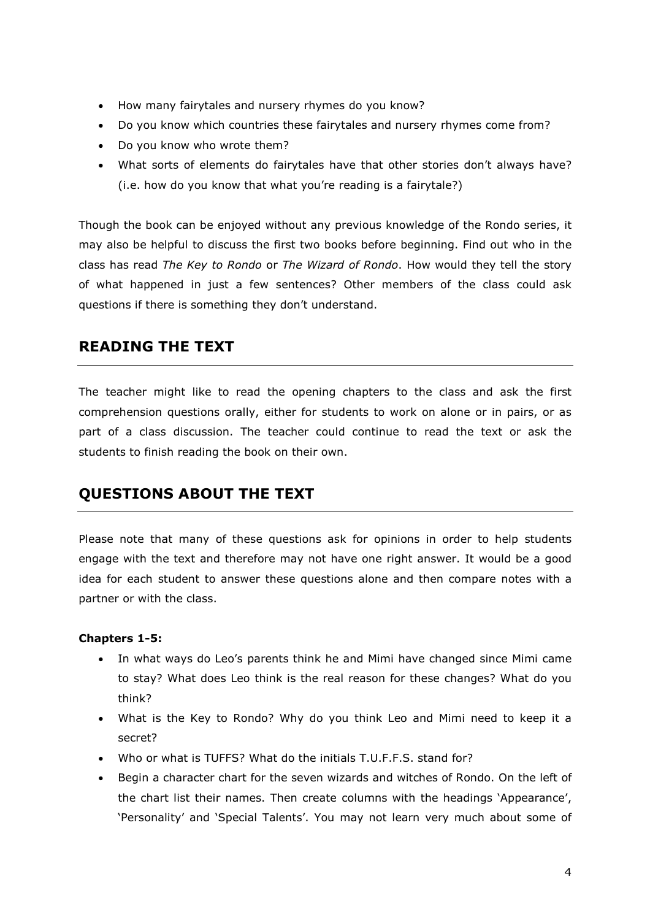- How many fairytales and nursery rhymes do you know?
- Do you know which countries these fairytales and nursery rhymes come from?
- Do you know who wrote them?
- What sorts of elements do fairytales have that other stories don't always have? (i.e. how do you know that what you're reading is a fairytale?)

Though the book can be enjoyed without any previous knowledge of the Rondo series, it may also be helpful to discuss the first two books before beginning. Find out who in the class has read *The Key to Rondo* or *The Wizard of Rondo*. How would they tell the story of what happened in just a few sentences? Other members of the class could ask questions if there is something they don't understand.

#### **READING THE TEXT**

The teacher might like to read the opening chapters to the class and ask the first comprehension questions orally, either for students to work on alone or in pairs, or as part of a class discussion. The teacher could continue to read the text or ask the students to finish reading the book on their own.

### **QUESTIONS ABOUT THE TEXT**

Please note that many of these questions ask for opinions in order to help students engage with the text and therefore may not have one right answer. It would be a good idea for each student to answer these questions alone and then compare notes with a partner or with the class.

#### **Chapters 1-5:**

- In what ways do Leo's parents think he and Mimi have changed since Mimi came to stay? What does Leo think is the real reason for these changes? What do you think?
- What is the Key to Rondo? Why do you think Leo and Mimi need to keep it a secret?
- Who or what is TUFFS? What do the initials T.U.F.F.S. stand for?
- Begin a character chart for the seven wizards and witches of Rondo. On the left of the chart list their names. Then create columns with the headings 'Appearance', 'Personality' and 'Special Talents'. You may not learn very much about some of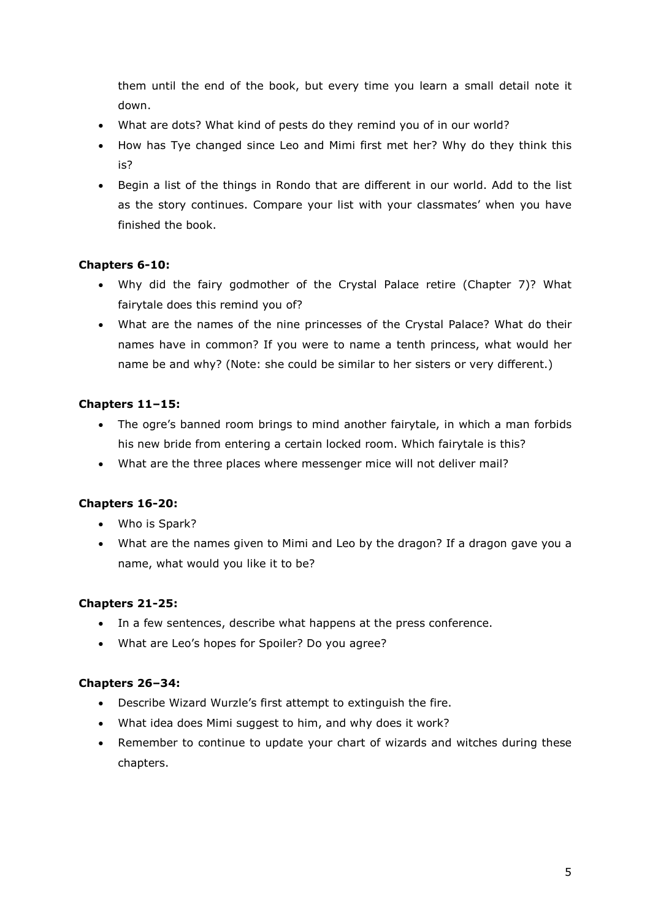them until the end of the book, but every time you learn a small detail note it down.

- What are dots? What kind of pests do they remind you of in our world?
- How has Tye changed since Leo and Mimi first met her? Why do they think this is?
- Begin a list of the things in Rondo that are different in our world. Add to the list as the story continues. Compare your list with your classmates' when you have finished the book.

#### **Chapters 6-10:**

- Why did the fairy godmother of the Crystal Palace retire (Chapter 7)? What fairytale does this remind you of?
- What are the names of the nine princesses of the Crystal Palace? What do their names have in common? If you were to name a tenth princess, what would her name be and why? (Note: she could be similar to her sisters or very different.)

#### **Chapters 11–15:**

- The ogre's banned room brings to mind another fairytale, in which a man forbids his new bride from entering a certain locked room. Which fairytale is this?
- What are the three places where messenger mice will not deliver mail?

#### **Chapters 16-20:**

- Who is Spark?
- What are the names given to Mimi and Leo by the dragon? If a dragon gave you a name, what would you like it to be?

#### **Chapters 21-25:**

- In a few sentences, describe what happens at the press conference.
- What are Leo's hopes for Spoiler? Do you agree?

#### **Chapters 26–34:**

- Describe Wizard Wurzle's first attempt to extinguish the fire.
- What idea does Mimi suggest to him, and why does it work?
- Remember to continue to update your chart of wizards and witches during these chapters.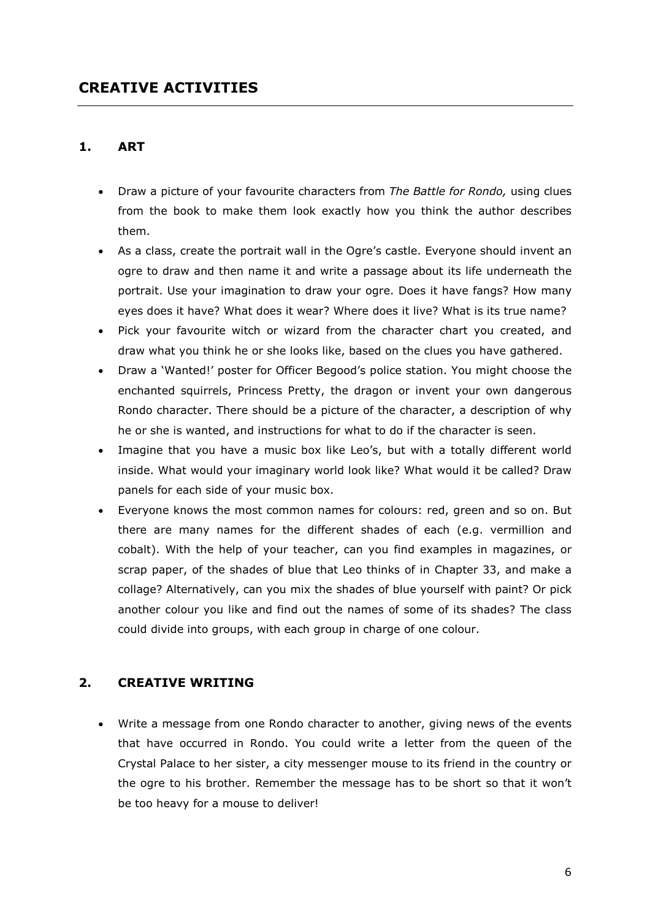#### **1. ART**

- Draw a picture of your favourite characters from *The Battle for Rondo,* using clues from the book to make them look exactly how you think the author describes them.
- As a class, create the portrait wall in the Ogre's castle. Everyone should invent an ogre to draw and then name it and write a passage about its life underneath the portrait. Use your imagination to draw your ogre. Does it have fangs? How many eyes does it have? What does it wear? Where does it live? What is its true name?
- Pick your favourite witch or wizard from the character chart you created, and draw what you think he or she looks like, based on the clues you have gathered.
- Draw a 'Wanted!' poster for Officer Begood's police station. You might choose the enchanted squirrels, Princess Pretty, the dragon or invent your own dangerous Rondo character. There should be a picture of the character, a description of why he or she is wanted, and instructions for what to do if the character is seen.
- Imagine that you have a music box like Leo's, but with a totally different world inside. What would your imaginary world look like? What would it be called? Draw panels for each side of your music box.
- Everyone knows the most common names for colours: red, green and so on. But there are many names for the different shades of each (e.g. vermillion and cobalt). With the help of your teacher, can you find examples in magazines, or scrap paper, of the shades of blue that Leo thinks of in Chapter 33, and make a collage? Alternatively, can you mix the shades of blue yourself with paint? Or pick another colour you like and find out the names of some of its shades? The class could divide into groups, with each group in charge of one colour.

#### **2. CREATIVE WRITING**

 Write a message from one Rondo character to another, giving news of the events that have occurred in Rondo. You could write a letter from the queen of the Crystal Palace to her sister, a city messenger mouse to its friend in the country or the ogre to his brother. Remember the message has to be short so that it won't be too heavy for a mouse to deliver!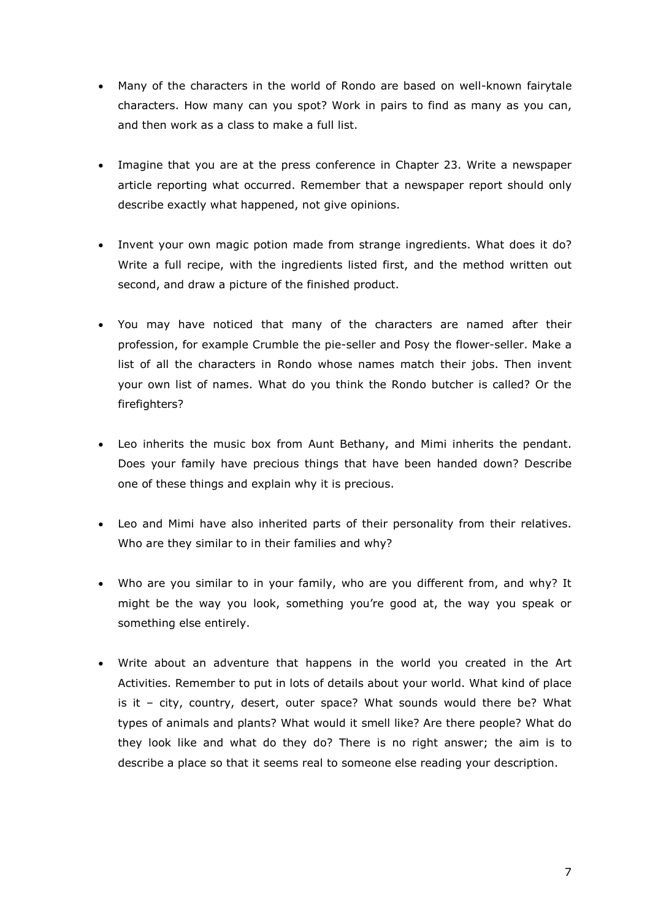- Many of the characters in the world of Rondo are based on well-known fairytale characters. How many can you spot? Work in pairs to find as many as you can, and then work as a class to make a full list.
- Imagine that you are at the press conference in Chapter 23. Write a newspaper article reporting what occurred. Remember that a newspaper report should only describe exactly what happened, not give opinions.
- Invent your own magic potion made from strange ingredients. What does it do? Write a full recipe, with the ingredients listed first, and the method written out second, and draw a picture of the finished product.
- You may have noticed that many of the characters are named after their profession, for example Crumble the pie-seller and Posy the flower-seller. Make a list of all the characters in Rondo whose names match their jobs. Then invent your own list of names. What do you think the Rondo butcher is called? Or the firefighters?
- Leo inherits the music box from Aunt Bethany, and Mimi inherits the pendant. Does your family have precious things that have been handed down? Describe one of these things and explain why it is precious.
- Leo and Mimi have also inherited parts of their personality from their relatives. Who are they similar to in their families and why?
- Who are you similar to in your family, who are you different from, and why? It might be the way you look, something you're good at, the way you speak or something else entirely.
- Write about an adventure that happens in the world you created in the Art Activities. Remember to put in lots of details about your world. What kind of place is it – city, country, desert, outer space? What sounds would there be? What types of animals and plants? What would it smell like? Are there people? What do they look like and what do they do? There is no right answer; the aim is to describe a place so that it seems real to someone else reading your description.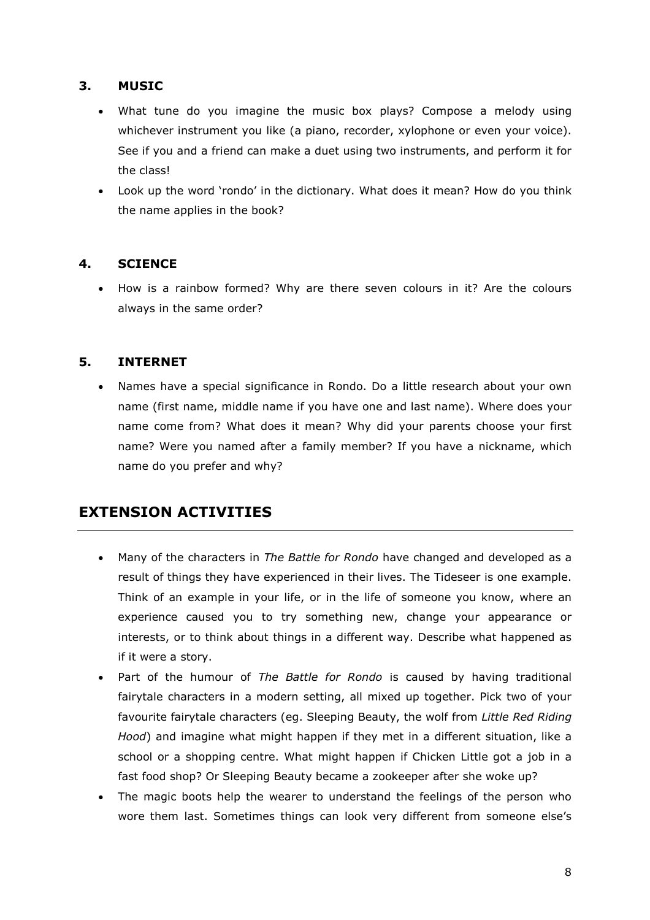#### **3. MUSIC**

- What tune do you imagine the music box plays? Compose a melody using whichever instrument you like (a piano, recorder, xylophone or even your voice). See if you and a friend can make a duet using two instruments, and perform it for the class!
- Look up the word 'rondo' in the dictionary. What does it mean? How do you think the name applies in the book?

#### **4. SCIENCE**

 How is a rainbow formed? Why are there seven colours in it? Are the colours always in the same order?

#### **5. INTERNET**

 Names have a special significance in Rondo. Do a little research about your own name (first name, middle name if you have one and last name). Where does your name come from? What does it mean? Why did your parents choose your first name? Were you named after a family member? If you have a nickname, which name do you prefer and why?

#### **EXTENSION ACTIVITIES**

- Many of the characters in *The Battle for Rondo* have changed and developed as a result of things they have experienced in their lives. The Tideseer is one example. Think of an example in your life, or in the life of someone you know, where an experience caused you to try something new, change your appearance or interests, or to think about things in a different way. Describe what happened as if it were a story.
- Part of the humour of *The Battle for Rondo* is caused by having traditional fairytale characters in a modern setting, all mixed up together. Pick two of your favourite fairytale characters (eg. Sleeping Beauty, the wolf from *Little Red Riding Hood*) and imagine what might happen if they met in a different situation, like a school or a shopping centre. What might happen if Chicken Little got a job in a fast food shop? Or Sleeping Beauty became a zookeeper after she woke up?
- The magic boots help the wearer to understand the feelings of the person who wore them last. Sometimes things can look very different from someone else's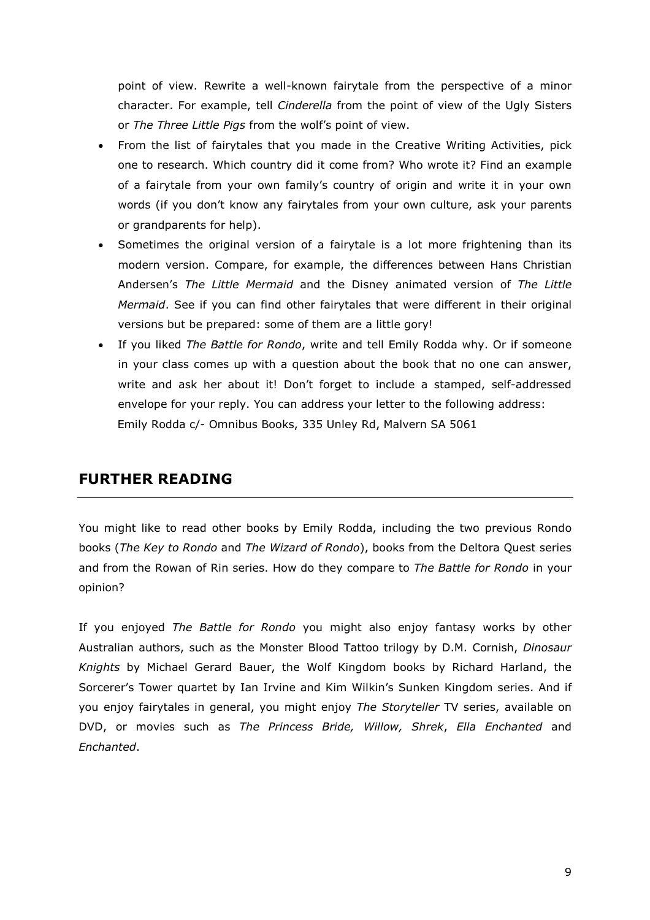point of view. Rewrite a well-known fairytale from the perspective of a minor character. For example, tell *Cinderella* from the point of view of the Ugly Sisters or *The Three Little Pigs* from the wolf's point of view.

- From the list of fairytales that you made in the Creative Writing Activities, pick one to research. Which country did it come from? Who wrote it? Find an example of a fairytale from your own family's country of origin and write it in your own words (if you don't know any fairytales from your own culture, ask your parents or grandparents for help).
- Sometimes the original version of a fairytale is a lot more frightening than its modern version. Compare, for example, the differences between Hans Christian Andersen's *The Little Mermaid* and the Disney animated version of *The Little Mermaid*. See if you can find other fairytales that were different in their original versions but be prepared: some of them are a little gory!
- If you liked *The Battle for Rondo*, write and tell Emily Rodda why. Or if someone in your class comes up with a question about the book that no one can answer, write and ask her about it! Don't forget to include a stamped, self-addressed envelope for your reply. You can address your letter to the following address: Emily Rodda c/- Omnibus Books, 335 Unley Rd, Malvern SA 5061

#### **FURTHER READING**

You might like to read other books by Emily Rodda, including the two previous Rondo books (*The Key to Rondo* and *The Wizard of Rondo*), books from the Deltora Quest series and from the Rowan of Rin series. How do they compare to *The Battle for Rondo* in your opinion?

If you enjoyed *The Battle for Rondo* you might also enjoy fantasy works by other Australian authors, such as the Monster Blood Tattoo trilogy by D.M. Cornish, *Dinosaur Knights* by Michael Gerard Bauer, the Wolf Kingdom books by Richard Harland, the Sorcerer's Tower quartet by Ian Irvine and Kim Wilkin's Sunken Kingdom series. And if you enjoy fairytales in general, you might enjoy *The Storyteller* TV series, available on DVD, or movies such as *The Princess Bride, Willow, Shrek*, *Ella Enchanted* and *Enchanted*.